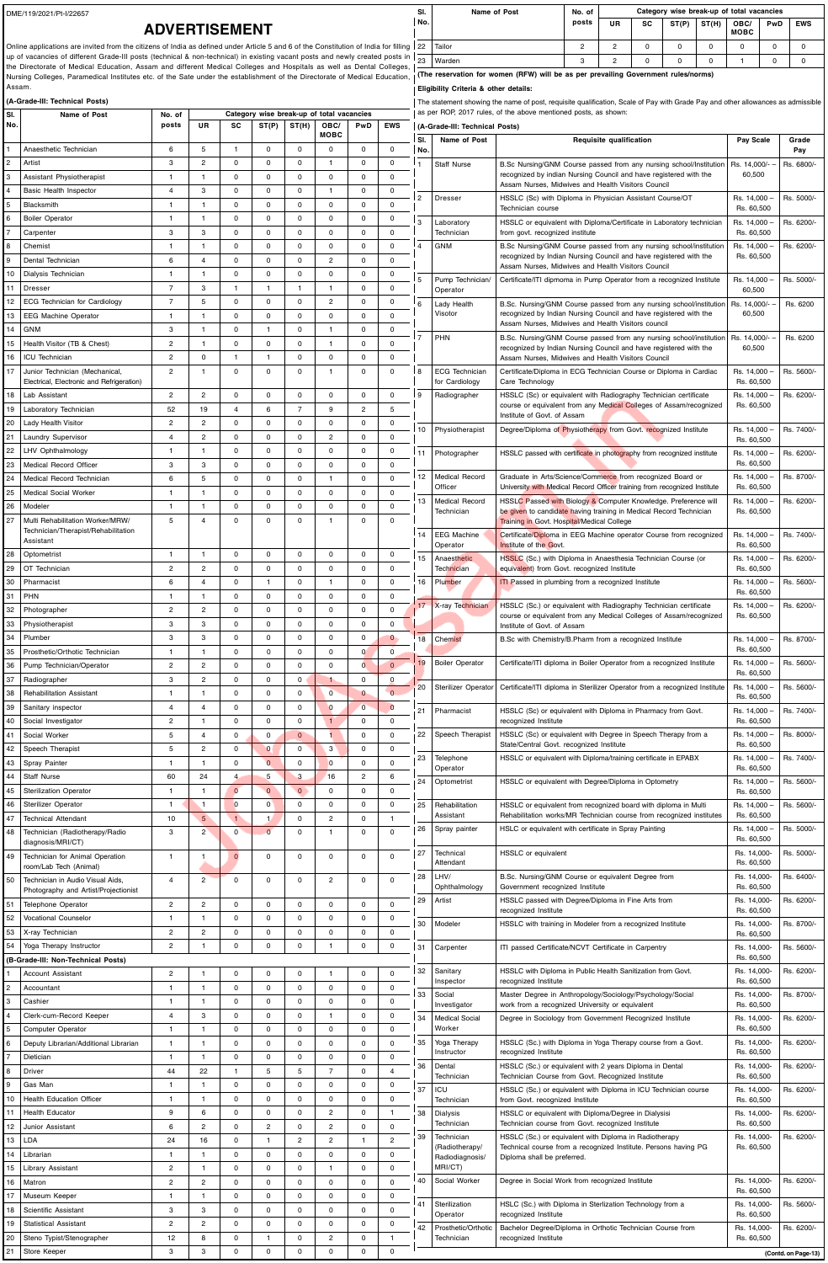DME/119/2021/Pt-I/22657

## **ADVERTISEMENT**

Online applications are invited from the citizens of India as defined under Article 5 and 6 of the Constitution of India for filling up of vacancies of different Grade-III posts (technical & non-technical) in existing vacant posts and newly created posts in the Directorate of Medical Education, Assam and different Medical Colleges and Hospitals as well as Dental Colleges, Nursing Colleges, Paramedical Institutes etc. of the Sate under the establishment of the Directorate of Medical Education, I (The reservation for women (RFW) will be as per prevailing Government rules/norms) Assam.

## **Eligibility Criteria & other details:**

| (A-Grade-III: Technical Posts)<br>Category wise break-up of total vacancies |                                                                         |                         |                                  |                            |                               |                  |                      | The statement showing the name of post, requisite qualification, Scale of Pay with Grade Pay and other allowances as admissible<br>as per ROP, 2017 rules, of the above mentioned posts, as shown: |                            |                 |                                  |                                                                                                                                        |                            |                     |  |
|-----------------------------------------------------------------------------|-------------------------------------------------------------------------|-------------------------|----------------------------------|----------------------------|-------------------------------|------------------|----------------------|----------------------------------------------------------------------------------------------------------------------------------------------------------------------------------------------------|----------------------------|-----------------|----------------------------------|----------------------------------------------------------------------------------------------------------------------------------------|----------------------------|---------------------|--|
| l sı.<br>Name of Post<br>No.                                                |                                                                         | No. of<br>posts         | <b>UR</b>                        | SC                         | ST(P)                         | ST(H)            | OBC/                 | PwD                                                                                                                                                                                                | <b>EWS</b>                 |                 | (A-Grade-III: Technical Posts)   |                                                                                                                                        |                            |                     |  |
|                                                                             |                                                                         |                         |                                  |                            |                               |                  | <b>MOBC</b>          |                                                                                                                                                                                                    |                            | SI.             | Name of Post                     | Requisite qualification                                                                                                                | Pay Scale                  | Grade               |  |
|                                                                             | Anaesthetic Technician                                                  | 6                       | 5                                | $\overline{1}$             | 0                             | 0                | $\Omega$             | 0                                                                                                                                                                                                  | 0                          | No.             |                                  |                                                                                                                                        |                            | Pay                 |  |
| $\overline{2}$                                                              | Artist                                                                  | 3                       | $\overline{2}$                   | $\mathbf 0$                | $\mathbf 0$                   | 0                |                      | 0                                                                                                                                                                                                  | 0                          |                 | <b>Staff Nurse</b>               | B.Sc Nursing/GNM Course passed from any nursing school/Institution                                                                     | Rs. 14,000/-               | Rs. 6800/-          |  |
| $\vert$ <sub>3</sub>                                                        | Assistant Physiotherapist                                               |                         | $\mathbf 1$                      | $\mathbf 0$                | $\mathbf 0$                   | 0                | $\Omega$             | $\Omega$                                                                                                                                                                                           | 0                          |                 |                                  | recognized by indian Nursing Council and have registered with the<br>Assam Nurses, Midwives and Health Visitors Council                | 60,500                     |                     |  |
| 4<br>$\overline{5}$                                                         | Basic Health Inspector<br><b>Blacksmith</b>                             | 4<br>-1                 | 3<br>$\mathbf 1$                 | $\mathbf 0$<br>$\mathbf 0$ | $\mathbf 0$<br>$\mathbf 0$    | 0<br>0           | $\Omega$             | 0<br>0                                                                                                                                                                                             | 0<br>$\mathbf 0$           |                 | <b>Dresser</b>                   | HSSLC (Sc) with Diploma in Physician Assistant Course/OT                                                                               | Rs. 14,000 -               | Rs. 5000/-          |  |
| 6                                                                           | <b>Boiler Operator</b>                                                  | $\overline{\mathbf{1}}$ | 1                                | $\mathbf 0$                | $\mathbf 0$                   | 0                | $\Omega$             | 0                                                                                                                                                                                                  | 0                          |                 |                                  | Technician course                                                                                                                      | Rs. 60,500                 |                     |  |
| 17                                                                          | Carpenter                                                               | 3                       | 3                                | $\mathbf 0$                | 0                             | 0                | $\Omega$             | 0                                                                                                                                                                                                  | $\mathbf 0$                | 3               | Laboratory<br>Technician         | HSSLC or equivalent with Diploma/Certificate in Laboratory technician<br>from govt. recognized institute                               | Rs. 14,000<br>Rs. 60,500   | Rs. 6200/-          |  |
| 8                                                                           | Chemist                                                                 | -1                      | $\mathbf 1$                      | $\mathbf 0$                | $\mathbf 0$                   | 0                | $\Omega$             | 0                                                                                                                                                                                                  | $\mathbf 0$                |                 | <b>GNM</b>                       | B.Sc Nursing/GNM Course passed from any nursing school/institution                                                                     | Rs. 14,000                 | Rs. 6200/-          |  |
| $\vert$ 9                                                                   | Dental Technician                                                       | 6                       | $\overline{4}$                   | $\mathbf 0$                | $\mathbf 0$                   | 0                | $\overline{2}$       | 0                                                                                                                                                                                                  | $\mathbf 0$                |                 |                                  | recognized by Indian Nursing Council and have registered with the<br>Assam Nurses, Midwives and Health Visitors Council                | Rs. 60,500                 |                     |  |
| 10                                                                          | Dialysis Technician                                                     | 1                       | $\mathbf 1$                      | $\Omega$                   | $\mathbf 0$                   | 0                | $\Omega$             | $\Omega$                                                                                                                                                                                           | 0                          |                 | Pump Technician/                 | Certificate/ITI dipmoma in Pump Operator from a recognized Institute                                                                   | Rs. 14,000                 | Rs. 5000/-          |  |
| 11                                                                          | Dresser                                                                 | $\overline{7}$          | 3                                | $\overline{1}$             | $\mathbf{1}$                  |                  |                      | 0                                                                                                                                                                                                  | $\mathbf 0$                |                 | Operator                         |                                                                                                                                        | 60,500                     |                     |  |
| 12                                                                          | <b>ECG Technician for Cardiology</b>                                    | $\overline{7}$          | 5                                | $\mathbf 0$                | $\mathbf 0$                   | 0                | $\overline{2}$       | 0                                                                                                                                                                                                  | 0                          |                 | Lady Health                      | B.Sc. Nursing/GNM Course passed from any nursing school/institution Rs. 14,000/-                                                       |                            | Rs. 6200            |  |
| 13                                                                          | <b>EEG Machine Operator</b>                                             | 1                       | 1                                | $\Omega$                   | $\mathbf 0$                   | 0                | $\Omega$             | $\Omega$                                                                                                                                                                                           | $\mathbf 0$                |                 | Visotor                          | recognized by Indian Nursing Council and have registered with the<br>Assam Nurses. Midwives and Health Visitors council                | 60,500                     |                     |  |
| 14<br>15                                                                    | GNM<br>Health Visitor (TB & Chest)                                      | 3<br>$\overline{2}$     | 1<br>1                           | $\mathbf 0$<br>$\mathbf 0$ | $\mathbf{1}$<br>$\mathbf 0$   | 0<br>$\mathbf 0$ |                      | $\Omega$<br>$\Omega$                                                                                                                                                                               | 0<br>0                     |                 | PHN                              | B.Sc. Nursing/GNM Course passed from any nursing school/institution                                                                    | Rs. 14,000/-               | Rs. 6200            |  |
| 16                                                                          | <b>ICU Technician</b>                                                   | $\overline{2}$          | $\mathbf 0$                      | $\overline{1}$             | $\mathbf{1}$                  | 0                | $\Omega$             | 0                                                                                                                                                                                                  | 0                          |                 |                                  | recognized by Indian Nursing Council and have registered with the<br>Assam Nurses, Midwives and Health Visitors Council                | 60,500                     |                     |  |
| 17                                                                          | Junior Technician (Mechanical,                                          | $\overline{2}$          |                                  | $\mathbf 0$                | $\mathbf 0$                   | 0                |                      | $\Omega$                                                                                                                                                                                           | $\mathbf 0$                |                 | <b>ECG Technician</b>            | Certificate/Diploma in ECG Technician Course or Diploma in Cardiac                                                                     | Rs. 14,000                 | Rs. 5600/-          |  |
|                                                                             | Electrical, Electronic and Refrigeration)                               |                         |                                  |                            |                               |                  |                      |                                                                                                                                                                                                    |                            |                 | for Cardiology                   | Care Technology                                                                                                                        | Rs. 60,500                 |                     |  |
| 18                                                                          | Lab Assistant                                                           | 2                       | $\overline{2}$                   | $\mathbf 0$                | $\mathbf 0$                   | 0                | $\Omega$             | 0                                                                                                                                                                                                  | $\mathbf 0$                | 9               | Radiographer                     | HSSLC (Sc) or equivalent with Radiography Technician certificate<br>course or equivalent from any Medical Colleges of Assam/recognized | Rs. 14,000 -<br>Rs. 60,500 | Rs. 6200/-          |  |
| 19                                                                          | Laboratory Technician                                                   | 52                      | 19                               | $\overline{4}$             | 6                             | $\overline{7}$   | 9                    | 2                                                                                                                                                                                                  | 5                          |                 |                                  | Institute of Govt. of Assam                                                                                                            |                            |                     |  |
| 20<br>21                                                                    | Lady Health Visitor<br>Laundry Supervisor                               | 2<br>4                  | $\overline{2}$<br>$\overline{2}$ | $\mathbf 0$<br>0           | $\mathbf 0$<br>$\mathbf 0$    | 0<br>0           | $\Omega$<br>2        | $\Omega$<br>$\Omega$                                                                                                                                                                               | 0<br>0                     | 10              | Physiotherapist                  | Degree/Diploma of Physiotherapy from Govt. recognized Institute                                                                        | Rs. 14,000 -               | Rs. 7400/-          |  |
| 22                                                                          | <b>LHV Ophthalmology</b>                                                | 1                       | 1                                | $\mathbf 0$                | $\mathbf 0$                   | 0                | $\Omega$             | 0                                                                                                                                                                                                  | 0                          | 11              | Photographer                     | HSSLC passed with certificate in photography from recognized institute                                                                 | Rs. 60,500<br>Rs. 14,000 - | Rs. 6200/-          |  |
| 23                                                                          | <b>Medical Record Officer</b>                                           | 3                       | 3                                | $\Omega$                   | $\mathbf 0$                   | 0                | $\Omega$             | $\Omega$                                                                                                                                                                                           | $\mathbf 0$                |                 |                                  |                                                                                                                                        | Rs. 60,500                 |                     |  |
| 24                                                                          | Medical Record Technician                                               | 6                       | 5                                | 0                          | $\mathbf 0$                   | 0                |                      | 0                                                                                                                                                                                                  | $\mathbf 0$                | 12              | Medical Record                   | Graduate in Arts/Science/Commerce from recognized Board or                                                                             | Rs. 14,000 -               | Rs. 8700/-          |  |
|                                                                             | Medical Social Worker                                                   |                         |                                  | $\mathbf 0$                | $\mathbf 0$                   | 0                |                      |                                                                                                                                                                                                    | $\mathbf{0}$               |                 | Officer<br><b>Medical Record</b> | University with Medical Record Officer training from recognized Institute                                                              | Rs. 60,500                 |                     |  |
| 26                                                                          | Modeler                                                                 | -1                      | $\mathbf 1$                      | $\mathbf 0$                | $\mathbf 0$                   | $\Omega$         | $\Omega$             | 0                                                                                                                                                                                                  | $\mathbf 0$                | 13              | Technician                       | HSSLC Passed with Biology & Computer Knowledge. Preference will<br>be given to candidate having training in Medical Record Technician  | Rs. 14,000 -<br>Rs. 60,500 | Rs. 6200/-          |  |
| 27                                                                          | Multi Rehabilitation Worker/MRW/<br>Technician/Therapist/Rehabilitation | 5                       | $\boldsymbol{\Delta}$            | $\Omega$                   | $\mathbf 0$                   | 0                |                      | $\Omega$                                                                                                                                                                                           | $\Omega$                   |                 |                                  | <b>Training in Govt. Hospital/Medical College</b>                                                                                      |                            |                     |  |
|                                                                             | Assistant                                                               |                         |                                  |                            |                               |                  |                      |                                                                                                                                                                                                    |                            | 14              | <b>EEG Machine</b><br>Operator   | Certificate/Diploma in EEG Machine operator Course from recognized<br>Institute of the Govt.                                           | Rs. 14,000<br>Rs. 60,500   | Rs. 7400/-          |  |
| 28                                                                          | Optometrist                                                             | $\overline{\mathbf{1}}$ | 1                                | $\Omega$                   | $\mathbf 0$                   | 0                | $\Omega$             | $\Omega$                                                                                                                                                                                           | 0                          | 15              | Anaesthetic                      | HSSLC (Sc.) with Diploma in Anaesthesia Technician Course (or                                                                          | Rs. 14,000                 | Rs. 6200/-          |  |
| 29                                                                          | OT Technician                                                           | $\overline{c}$          | $\overline{2}$                   | $\mathbf 0$                | $\mathbf 0$                   | 0                | $\Omega$             | $\mathbf 0$                                                                                                                                                                                        | $\mathbf 0$                |                 | Technician                       | equivalent) from Govt. recognized Institute                                                                                            | Rs. 60,500                 |                     |  |
| 30                                                                          | Pharmacist                                                              | 6                       | $\overline{4}$                   | $\mathbf 0$                | $\mathbf{1}$                  | 0                |                      | 0                                                                                                                                                                                                  | $\mathbf 0$                | 16              | Plumber                          | <b>ITI</b> Passed in plumbing from a recognized Institute                                                                              | Rs. 14,000<br>Rs. 60,500   | Rs. 5600/-          |  |
| 31                                                                          | PHN                                                                     | $\overline{\mathbf{1}}$ | $\mathbf 1$                      | $\mathbf 0$                | $\mathbf 0$                   | 0                | $\Omega$             | 0                                                                                                                                                                                                  | $\mathbf 0$                | 17 <sup>2</sup> | X-ray Technician                 | HSSLC (Sc.) or equivalent with Radiography Technician certificate                                                                      | Rs. 14,000 -               | Rs. 6200/-          |  |
| 32<br>33                                                                    | Photographer<br>Physiotherapist                                         | $\overline{c}$<br>3     | $\overline{2}$<br>3              | $\mathbf 0$<br>$\mathbf 0$ | 0<br>$\mathbf 0$              | 0<br>0           | $\Omega$<br>$\Omega$ | $\Omega$<br>0                                                                                                                                                                                      | $\mathbf 0$<br>$\mathbf 0$ |                 |                                  | course or equivalent from any Medical Colleges of Assam/recognized                                                                     | Rs. 60,500                 |                     |  |
| 34                                                                          | Plumber                                                                 | 3                       | 3                                | $\mathbf 0$                | $\mathbf 0$                   | 0                | $\Omega$             | $\Omega$                                                                                                                                                                                           | $\mathbf{0}$               | 18              | Chemist                          | Institute of Govt. of Assam<br>B.Sc with Chemistry/B.Pharm from a recognized Institute                                                 | Rs. 14,000 -               | Rs. 8700/-          |  |
| 35                                                                          | Prosthetic/Orthotic Technician                                          | 1                       | 1                                | $\mathbf 0$                | $\mathbf 0$                   | 0                | $\Omega$             | $\Omega$                                                                                                                                                                                           | $\mathbf 0$                |                 |                                  |                                                                                                                                        | Rs. 60,500                 |                     |  |
| 36                                                                          | Pump Technician/Operator                                                | $\overline{2}$          | $\overline{2}$                   | $\Omega$                   | $\mathbf 0$                   | 0                | $\Omega$             | $\Omega$                                                                                                                                                                                           | $\Omega$                   | 19              | <b>Boiler Operator</b>           | Certificate/ITI diploma in Boiler Operator from a recognized Institute                                                                 | Rs. 14,000                 | Rs. 5600/-          |  |
| 37                                                                          | Radiographer                                                            | 3                       | $\overline{2}$                   | $\mathbf 0$                | $\mathbf 0$                   | 0                |                      | $\Omega$                                                                                                                                                                                           | $\mathbf 0$                |                 |                                  |                                                                                                                                        | Rs. 60,500                 |                     |  |
| 38                                                                          | <b>Rehabilitation Assistant</b>                                         | 1                       | -1                               | 0                          | $\mathbf 0$                   | 0                | $\Omega$             | $\mathbf{0}$                                                                                                                                                                                       | $\overline{0}$             | 20              | Sterilizer Operator              | Certificate/ITI diploma in Sterilizer Operator from a recognized Institute                                                             | Rs. 14,000<br>Rs. 60,500   | Rs. 5600/-          |  |
| 39                                                                          | Sanitary inspector                                                      | $\overline{4}$          | $\overline{4}$                   | $\mathbf 0$                | $\mathbf 0$                   | 0                | $\Omega$             | $\overline{0}$                                                                                                                                                                                     | $\overline{0}$             | 21              | Pharmacist                       | HSSLC (Sc) or equivalent with Diploma in Pharmacy from Govt.                                                                           | Rs. 14,000 -               | Rs. 7400/-          |  |
| 40                                                                          | Social Investigator                                                     | $\overline{2}$          | 1                                | $\mathbf 0$                | $\mathbf 0$                   | 0                |                      | 0                                                                                                                                                                                                  | $\mathbf 0$                |                 |                                  | recognized Institute                                                                                                                   | Rs. 60,500                 |                     |  |
| 41                                                                          | Social Worker                                                           | 5                       | $\boldsymbol{\Delta}$            | $\mathbf 0$                | $\mathbf 0$                   | $\overline{0}$   |                      | 0                                                                                                                                                                                                  | $\mathbf 0$                | 22              | Speech Therapist                 | HSSLC (Sc) or equivalent with Degree in Speech Therapy from a<br>State/Central Govt. recognized Institute                              | Rs. 14,000<br>Rs. 60,500   | Rs. 8000/-          |  |
| 42<br>43                                                                    | Speech Therapist<br>Spray Painter                                       | 5<br>-1                 | $\overline{2}$<br>$\mathbf 1$    | $\mathbf 0$<br>$\mathbf 0$ | $\mathbf 0$<br>$\overline{0}$ | 0<br>0           | 3<br>$\mathbf{0}$    | 0<br>$\mathbf 0$                                                                                                                                                                                   | 0<br>$\mathbf 0$           | 23              | Telephone                        | HSSLC or equivalent with Diploma/training certificate in EPABX                                                                         | Rs. 14,000                 | Rs. 7400/-          |  |
| 44                                                                          | <b>Staff Nurse</b>                                                      | 60                      | 24                               | 4                          | 5                             | 3                | 16                   | 2                                                                                                                                                                                                  | 6                          |                 | Operator                         |                                                                                                                                        | Rs. 60,500                 |                     |  |
| 45                                                                          | <b>Sterilization Operator</b>                                           | 1                       |                                  | $\overline{0}$             | $\overline{0}$                | $\overline{0}$   | $\Omega$             | $\Omega$                                                                                                                                                                                           | $\mathbf 0$                | 24              | Optometrist                      | HSSLC or equivalent with Degree/Diploma in Optometry                                                                                   | Rs. 14,000 -<br>Rs. 60,500 | Rs. 5600/-          |  |
| 46                                                                          | <b>Sterilizer Operator</b>                                              | -1                      | -1                               | $\overline{0}$             | $\overline{0}$                | 0                | $\Omega$             | $\mathbf 0$                                                                                                                                                                                        | 0                          | 25              | Rehabilitation                   | HSSLC or equivalent from recognized board with diploma in Multi                                                                        | Rs. 14,000 -               | Rs. 5600/-          |  |
| 47                                                                          | <b>Technical Attendant</b>                                              | 10                      | 5 <sup>5</sup>                   | $\mathbf{1}$               | $\overline{1}$                | 0                | $\overline{2}$       | $\Omega$                                                                                                                                                                                           |                            |                 | Assistant                        | Rehabilitation works/MR Technician course from recognized institutes                                                                   | Rs. 60,500                 |                     |  |
| 48                                                                          | Technician (Radiotherapy/Radio                                          | 3                       | $\overline{2}$                   | $\Omega$                   | $\overline{0}$                | 0                |                      | $\Omega$                                                                                                                                                                                           | $\Omega$                   | 26              | Spray painter                    | HSLC or equivalent with certificate in Spray Painting                                                                                  | Rs. 14,000<br>Rs. 60,500   | Rs. 5000/-          |  |
| 49                                                                          | diagnosis/MRI/CT)<br>Technician for Animal Operation                    | -1                      |                                  | $\Omega$                   | $\mathbf 0$                   | $\Omega$         | $\Omega$             | 0                                                                                                                                                                                                  | $\mathbf 0$                | 27              | Technical                        | HSSLC or equivalent                                                                                                                    | Rs. 14,000-                | Rs. 5000/-          |  |
|                                                                             | room/Lab Tech (Animal)                                                  |                         |                                  |                            |                               |                  |                      |                                                                                                                                                                                                    |                            |                 | Attendant                        |                                                                                                                                        | Rs. 60,500                 |                     |  |
| 50                                                                          | Technician in Audio Visual Aids,                                        | 4                       | $2^{\circ}$                      | $\mathbf 0$                | $\mathbf 0$                   | 0                | $\overline{c}$       | 0                                                                                                                                                                                                  | $\mathbf 0$                | 28              | LHV/<br>Ophthalmology            | B.Sc. Nursing/GNM Course or equivalent Degree from<br>Government recognized Institute                                                  | Rs. 14,000-<br>Rs. 60,500  | Rs. 6400/-          |  |
|                                                                             | Photography and Artist/Projectionist                                    |                         |                                  |                            |                               |                  |                      |                                                                                                                                                                                                    |                            | 29              | Artist                           | HSSLC passed with Degree/Diploma in Fine Arts from                                                                                     | Rs. 14,000-                | Rs. 6200/-          |  |
| 51<br>52                                                                    | <b>Telephone Operator</b><br><b>Vocational Counselor</b>                | $\overline{2}$<br>-1    | $\overline{2}$<br>$\mathbf{1}$   | $\mathbf 0$<br>$\mathbf 0$ | $\mathbf 0$<br>$\mathbf 0$    | 0<br>0           | $\Omega$<br>$\Omega$ | $\Omega$<br>0                                                                                                                                                                                      | $\mathbf 0$<br>0           |                 |                                  | recognized Institute                                                                                                                   | Rs. 60,500                 |                     |  |
| 53                                                                          | X-ray Technician                                                        | $\overline{c}$          | $\overline{c}$                   | $\mathbf 0$                | $\mathbf 0$                   | 0                | $\Omega$             | 0                                                                                                                                                                                                  | $\mathbf 0$                | 30              | Modeler                          | HSSLC with training in Modeler from a recognized Institute                                                                             | Rs. 14,000-<br>Rs. 60,500  | Rs. 8700/-          |  |
| 54                                                                          | Yoga Therapy Instructor                                                 | $\overline{2}$          |                                  | $\mathbf 0$                | $\mathbf 0$                   | 0                |                      | 0                                                                                                                                                                                                  | 0                          | 31              | Carpenter                        | ITI passed Certificate/NCVT Certificate in Carpentry                                                                                   | Rs. 14,000-                | Rs. 5600/-          |  |
|                                                                             | (B-Grade-III: Non-Technical Posts)                                      |                         |                                  |                            |                               |                  |                      |                                                                                                                                                                                                    |                            |                 |                                  |                                                                                                                                        | Rs. 60,500                 |                     |  |
|                                                                             | <b>Account Assistant</b>                                                | $\overline{c}$          |                                  | 0                          | 0                             | 0                |                      | 0                                                                                                                                                                                                  | $\mathsf{O}$               | 32              | Sanitary<br>Inspector            | HSSLC with Diploma in Public Health Sanitization from Govt.<br>recognized Institute                                                    | Rs. 14,000-<br>Rs. 60,500  | Rs. 6200/-          |  |
| $\vert$ <sub>2</sub>                                                        | Accountant                                                              | $\mathbf{1}$            | $\mathbf{1}$                     | $\mathbf 0$                | $\mathbf 0$                   | 0                | $\Omega$             | 0                                                                                                                                                                                                  | 0                          | 33              | Social                           | Master Degree in Anthropology/Sociology/Psychology/Social                                                                              | Rs. 14,000-                | Rs. 8700/-          |  |
| $\vert$ 3                                                                   | Cashier                                                                 | 1                       | 1                                | $\mathbf 0$                | $\mathbf 0$                   | 0                | 0                    | 0                                                                                                                                                                                                  | 0                          |                 | Investigator                     | work from a recognized University or equivalent                                                                                        | Rs. 60,500                 |                     |  |
| $\vert$ 4                                                                   | Clerk-cum-Record Keeper                                                 | 4                       | 3                                | $\mathbf 0$                | $\mathbf 0$                   | 0                | -1                   | 0                                                                                                                                                                                                  | 0                          | 34              | <b>Medical Social</b>            | Degree in Sociology from Government Recognized Institute                                                                               | Rs. 14,000-                | Rs. 6200/-          |  |
| $\overline{5}$<br>6                                                         | <b>Computer Operator</b><br>Deputy Librarian/Additional Librarian       | -1<br>-1                | $\mathbf{1}$<br>1                | 0<br>0                     | $\mathbf 0$<br>0              | 0<br>0           | $\Omega$<br>0        | 0<br>0                                                                                                                                                                                             | $\mathbf 0$<br>$\mathbf 0$ | 35              | Worker<br>Yoga Therapy           | HSSLC (Sc.) with Diploma in Yoga Therapy course from a Govt.                                                                           | Rs. 60,500<br>Rs. 14,000-  | Rs. 6200/-          |  |
| $\vert$ 7                                                                   | Dietician                                                               | $\mathbf{1}$            | $\mathbf{1}$                     | $\mathbf 0$                | $\mathbf 0$                   | 0                | $\Omega$             | $\Omega$                                                                                                                                                                                           | $\mathbf 0$                |                 | Instructor                       | recognized Institute                                                                                                                   | Rs. 60,500                 |                     |  |
| 8                                                                           | Driver                                                                  | 44                      | 22                               | $\mathbf{1}$               | 5                             | 5                |                      | 0                                                                                                                                                                                                  | $\overline{4}$             | 36              | Dental                           | HSSLC (Sc.) or equivalent with 2 years Diploma in Dental                                                                               | Rs. 14,000-                | Rs. 6200/-          |  |
| 9                                                                           | Gas Man                                                                 | -1                      | $\mathbf{1}$                     | $\mathbf 0$                | $\mathbf 0$                   | 0                | 0                    | 0                                                                                                                                                                                                  | 0                          | 37              | Technician<br>ICU                | Technician Course from Govt. Recognized Institute<br>HSSLC (Sc.) or equivalent with Diploma in ICU Technician course                   | Rs. 60,500<br>Rs. 14,000-  | Rs. 6200/-          |  |
| 10                                                                          | <b>Health Education Officer</b>                                         | -1                      | $\mathbf{1}$                     | $\mathbf 0$                | $\mathbf 0$                   | 0                | 0                    | 0                                                                                                                                                                                                  | 0                          |                 | Technician                       | from Govt. recognized Institute                                                                                                        | Rs. 60,500                 |                     |  |
| 11                                                                          | <b>Health Educator</b>                                                  | 9                       | 6                                | $\mathbf 0$                | 0                             | 0                | $\overline{2}$       | 0                                                                                                                                                                                                  | -1                         | 38              | Dialysis                         | HSSLC or equivalent with Diploma/Degree in Dialysisi                                                                                   | Rs. 14,000-                | Rs. 6200/-          |  |
| 12                                                                          | Junior Assistant                                                        | 6                       | $\overline{2}$                   | $\mathbf 0$                | $\overline{c}$                | 0                | $\overline{2}$       | $\Omega$                                                                                                                                                                                           | 0                          | 39              | Technician<br>Technician         | Technician course from Govt. recognized Institute<br>HSSLC (Sc.) or equivalent with Diploma in Radiotherapy                            | Rs. 60,500<br>Rs. 14,000-  | Rs. 6200/-          |  |
| 13                                                                          | <b>LDA</b>                                                              | 24                      | 16                               | $\mathbf 0$                | $\mathbf{1}$                  | $\overline{2}$   | $\overline{2}$       |                                                                                                                                                                                                    | $\overline{c}$             |                 | (Radiotherapy/                   | Technical course from a recognized Institute. Persons having PG                                                                        | Rs. 60,500                 |                     |  |
| 14<br>15                                                                    | Librarian<br>Library Assistant                                          | -1<br>$\overline{2}$    | $\mathbf{1}$<br>1                | $\mathbf 0$<br>$\mathbf 0$ | 0<br>0                        | 0<br>0           | 0<br>-1              | 0<br>0                                                                                                                                                                                             | 0<br>$\mathbf 0$           |                 | Radiodiagnosis/<br>MRI/CT)       | Diploma shall be preferred.                                                                                                            |                            |                     |  |
| 16                                                                          | Matron                                                                  | $\overline{2}$          | $\overline{2}$                   | $\mathbf 0$                | $\mathbf 0$                   | 0                | $\Omega$             | 0                                                                                                                                                                                                  | $\mathbf 0$                | 40              | Social Worker                    | Degree in Social Work from recognized Institute                                                                                        | Rs. 14,000-                | Rs. 6200/-          |  |
| 17                                                                          | Museum Keeper                                                           |                         | $\mathbf 1$                      | $\mathbf 0$                | $\mathbf 0$                   | 0                | $\Omega$             | 0                                                                                                                                                                                                  | 0                          |                 |                                  |                                                                                                                                        | Rs. 60,500                 |                     |  |
| 18                                                                          | Scientific Assistant                                                    | 3                       | 3                                | 0                          | $\mathbf 0$                   | 0                | $\Omega$             | 0                                                                                                                                                                                                  | 0                          | 41              | Sterilization<br>Operator        | HSLC (Sc.) with Diploma in Sterlization Technology from a<br>recognized Institute                                                      | Rs. 14,000-<br>Rs. 60,500  | Rs. 5600/-          |  |
| 19                                                                          | <b>Statistical Assistant</b>                                            | $\overline{2}$          | $\overline{2}$                   | $\mathbf 0$                | $\mathbf 0$                   | 0                | $\Omega$             | 0                                                                                                                                                                                                  | 0                          | 42              | Prosthetic/Orthotic              | Bachelor Degree/Diploma in Orthotic Technician Course from                                                                             | Rs. 14,000-                | Rs. 6200/-          |  |
| 20                                                                          | Steno Typist/Stenographer                                               | 12 <sub>2</sub>         | 8                                | $\mathbf 0$                | $\mathbf{1}$                  | 0                | $\overline{2}$       | $\Omega$                                                                                                                                                                                           | -1                         |                 | Technician                       | recognized Institute                                                                                                                   | Rs. 60,500                 |                     |  |
| 21                                                                          | Store Keeper                                                            | 3                       | 3                                | 0                          | 0                             | 0                | 0                    | 0                                                                                                                                                                                                  | 0                          |                 |                                  |                                                                                                                                        |                            | (Contd. on Page-13) |  |

|        | No. of | Category wise break-up of total vacancies |           |       |       |                     |     |            |  |  |  |
|--------|--------|-------------------------------------------|-----------|-------|-------|---------------------|-----|------------|--|--|--|
|        | posts  | UR                                        | <b>SC</b> | ST(P) | ST(H) | OBC/<br><b>MOBC</b> | PwD | <b>EWS</b> |  |  |  |
| Tailor |        |                                           |           | 0     |       |                     |     |            |  |  |  |
| Warden | 3      |                                           |           | 0     |       |                     | 0   |            |  |  |  |
|        | No.    |                                           |           |       |       |                     |     |            |  |  |  |